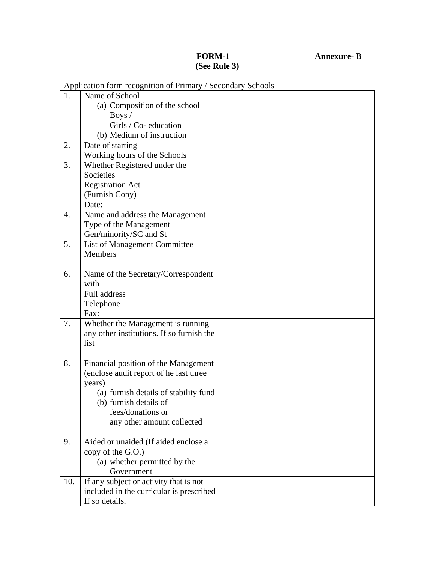## **(See Rule 3)**

## **FORM-1 Annexure- B**

|                  | Application form recognition of Filmary / Becondary Benoofs |  |
|------------------|-------------------------------------------------------------|--|
| $\mathbf{1}$ .   | Name of School                                              |  |
|                  | (a) Composition of the school                               |  |
|                  | Boys $/$                                                    |  |
|                  | Girls / Co- education                                       |  |
|                  | (b) Medium of instruction                                   |  |
| 2.               | Date of starting                                            |  |
|                  | Working hours of the Schools                                |  |
| 3.               | Whether Registered under the                                |  |
|                  | Societies                                                   |  |
|                  | <b>Registration Act</b>                                     |  |
|                  | (Furnish Copy)                                              |  |
|                  | Date:                                                       |  |
| $\overline{4}$ . | Name and address the Management                             |  |
|                  | Type of the Management                                      |  |
|                  | Gen/minority/SC and St                                      |  |
| 5.               | List of Management Committee                                |  |
|                  | <b>Members</b>                                              |  |
|                  |                                                             |  |
| 6.               | Name of the Secretary/Correspondent                         |  |
|                  | with                                                        |  |
|                  | <b>Full address</b>                                         |  |
|                  | Telephone                                                   |  |
|                  | Fax:                                                        |  |
| 7.               | Whether the Management is running                           |  |
|                  | any other institutions. If so furnish the                   |  |
|                  | list                                                        |  |
|                  |                                                             |  |
| 8.               | Financial position of the Management                        |  |
|                  | (enclose audit report of he last three                      |  |
|                  | years)                                                      |  |
|                  | (a) furnish details of stability fund                       |  |
|                  | (b) furnish details of                                      |  |
|                  | fees/donations or                                           |  |
|                  | any other amount collected                                  |  |
|                  |                                                             |  |
| 9.               | Aided or unaided (If aided enclose a                        |  |
|                  | copy of the G.O.)                                           |  |
|                  | (a) whether permitted by the                                |  |
|                  | Government                                                  |  |
| 10.              | If any subject or activity that is not                      |  |
|                  | included in the curricular is prescribed                    |  |
|                  | If so details.                                              |  |

Application form recognition of Primary / Secondary Schools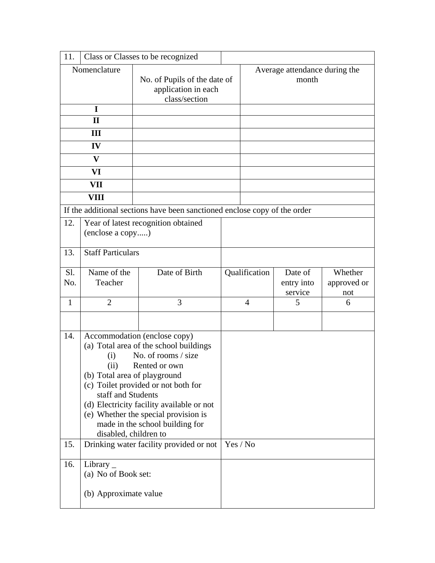| 11.          |                                                                                                                                                                                                                                                                                                                                                                             | Class or Classes to be recognized                                         |          |                                        |                                  |                               |
|--------------|-----------------------------------------------------------------------------------------------------------------------------------------------------------------------------------------------------------------------------------------------------------------------------------------------------------------------------------------------------------------------------|---------------------------------------------------------------------------|----------|----------------------------------------|----------------------------------|-------------------------------|
| Nomenclature |                                                                                                                                                                                                                                                                                                                                                                             | No. of Pupils of the date of<br>application in each<br>class/section      |          | Average attendance during the<br>month |                                  |                               |
| I            |                                                                                                                                                                                                                                                                                                                                                                             |                                                                           |          |                                        |                                  |                               |
| $\mathbf{I}$ |                                                                                                                                                                                                                                                                                                                                                                             |                                                                           |          |                                        |                                  |                               |
| III          |                                                                                                                                                                                                                                                                                                                                                                             |                                                                           |          |                                        |                                  |                               |
| IV           |                                                                                                                                                                                                                                                                                                                                                                             |                                                                           |          |                                        |                                  |                               |
| $\mathbf{V}$ |                                                                                                                                                                                                                                                                                                                                                                             |                                                                           |          |                                        |                                  |                               |
| VI           |                                                                                                                                                                                                                                                                                                                                                                             |                                                                           |          |                                        |                                  |                               |
|              | VII                                                                                                                                                                                                                                                                                                                                                                         |                                                                           |          |                                        |                                  |                               |
|              | VIII                                                                                                                                                                                                                                                                                                                                                                        |                                                                           |          |                                        |                                  |                               |
|              |                                                                                                                                                                                                                                                                                                                                                                             | If the additional sections have been sanctioned enclose copy of the order |          |                                        |                                  |                               |
| 12.          | (enclose a copy)                                                                                                                                                                                                                                                                                                                                                            | Year of latest recognition obtained                                       |          |                                        |                                  |                               |
| 13.          | <b>Staff Particulars</b>                                                                                                                                                                                                                                                                                                                                                    |                                                                           |          |                                        |                                  |                               |
| Sl.<br>No.   | Name of the<br>Teacher                                                                                                                                                                                                                                                                                                                                                      | Date of Birth                                                             |          | Qualification                          | Date of<br>entry into<br>service | Whether<br>approved or<br>not |
| $\mathbf{1}$ | $\overline{2}$                                                                                                                                                                                                                                                                                                                                                              | 3                                                                         |          | $\overline{4}$                         | 5                                | 6                             |
| 14.          |                                                                                                                                                                                                                                                                                                                                                                             |                                                                           |          |                                        |                                  |                               |
|              | Accommodation (enclose copy)<br>(a) Total area of the school buildings<br>No. of rooms / size<br>(i)<br>Rented or own<br>(ii)<br>(b) Total area of playground<br>(c) Toilet provided or not both for<br>staff and Students<br>(d) Electricity facility available or not<br>(e) Whether the special provision is<br>made in the school building for<br>disabled, children to |                                                                           |          |                                        |                                  |                               |
| 15.          |                                                                                                                                                                                                                                                                                                                                                                             | Drinking water facility provided or not                                   | Yes / No |                                        |                                  |                               |
| 16.          | Library $\overline{\phantom{a}}$<br>(a) No of Book set:<br>(b) Approximate value                                                                                                                                                                                                                                                                                            |                                                                           |          |                                        |                                  |                               |